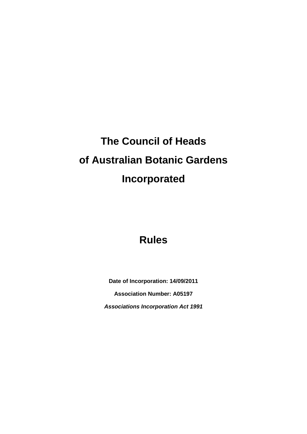# **The Council of Heads of Australian Botanic Gardens Incorporated**

## **Rules**

**Date of Incorporation: 14/09/2011 Association Number: A05197** *Associations Incorporation Act 1991*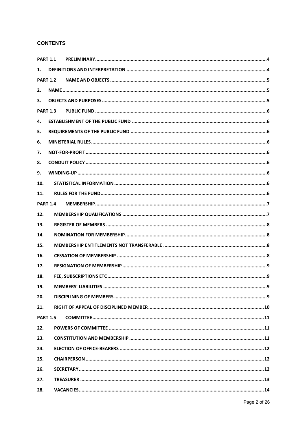## **CONTENTS**

| <b>PART 1.1</b> |                                    |
|-----------------|------------------------------------|
| 1.              |                                    |
| <b>PART 1.2</b> |                                    |
| 2.              |                                    |
| 3.              |                                    |
| <b>PART 1.3</b> |                                    |
| 4.              |                                    |
| 5.              |                                    |
| 6.              |                                    |
| 7.              |                                    |
| 8.              |                                    |
| 9.              |                                    |
| 10.             |                                    |
| 11.             |                                    |
| <b>PART 1.4</b> |                                    |
| 12.             |                                    |
| 13.             |                                    |
| 14.             |                                    |
| 15.             |                                    |
| 16.             |                                    |
| 17.             |                                    |
| 18.             |                                    |
| 19.             | . 9<br><b>MEMBERS' LIABILITIES</b> |
| 20.             |                                    |
| 21.             |                                    |
| <b>PART 1.5</b> |                                    |
| 22.             |                                    |
| 23.             |                                    |
| 24.             |                                    |
| 25.             |                                    |
| 26.             |                                    |
| 27.             |                                    |
| 28.             |                                    |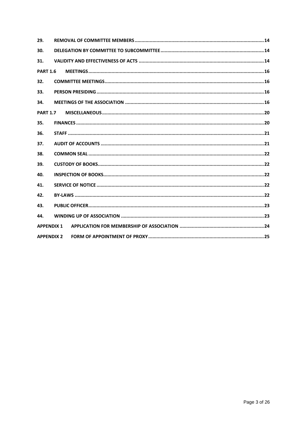| 29.               |  |
|-------------------|--|
| 30.               |  |
| 31.               |  |
| <b>PART 1.6</b>   |  |
| 32.               |  |
| 33.               |  |
| 34.               |  |
| <b>PART 1.7</b>   |  |
| 35.               |  |
| 36.               |  |
| 37.               |  |
| 38.               |  |
| 39.               |  |
| 40.               |  |
| 41.               |  |
| 42.               |  |
| 43.               |  |
| 44.               |  |
| <b>APPENDIX 1</b> |  |
| <b>APPENDIX 2</b> |  |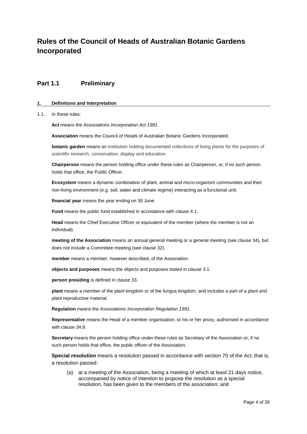## **Rules of the Council of Heads of Australian Botanic Gardens Incorporated**

## <span id="page-3-0"></span>**Part 1.1 Preliminary**

#### <span id="page-3-1"></span>**1. Definitions and Interpretation**

#### 1.1. In these rules:

**Act** means the *Associations Incorporation Act 1991*.

**Association** means the Council of Heads of Australian Botanic Gardens Incorporated.

**botanic garden** means an institution holding documented collections of living plants for the purposes of scientific research, conservation, display and education.

**Chairperson** means the person holding office under these rules as Chairperson, or, if no such person holds that office, the Public Officer.

**Ecosystem** means a dynamic combination of plant, animal and micro-organism communities and their non-living environment (e.g. soil, water and climate regime) interacting as a functional unit.

**financial year** means the year ending on 30 June.

**Fund** means the public fund established in accordance with clause 4.1.

**Head** means the Chief Executive Officer or equivalent of the member (where the member is not an individual).

**meeting of the Association** means an annual general meeting or a general meeting (see clause 34), but does not include a Committee meeting (see clause 32).

**member** means a member, however described, of the Association.

**objects and purposes** means the objects and purposes stated in clause 3.1.

**person presiding** is defined in clause 33.

**plant** means a member of the plant kingdom or of the fungus kingdom, and includes a part of a plant and plant reproductive material.

**Regulation** means the *Associations Incorporation Regulation 1991*.

**Representative** means the Head of a member organisation, or his or her proxy, authorised in accordance with clause 34.8.

**Secretary** means the person holding office under these rules as Secretary of the Association or, if no such person holds that office, the public officer of the Association.

**Special resolution** means a resolution passed in accordance with section 70 of the Act; that is, a resolution passed:

(a) at a meeting of the Association, being a meeting of which at least 21 days notice, accompanied by notice of intention to propose the resolution as a special resolution, has been given to the members of the association; and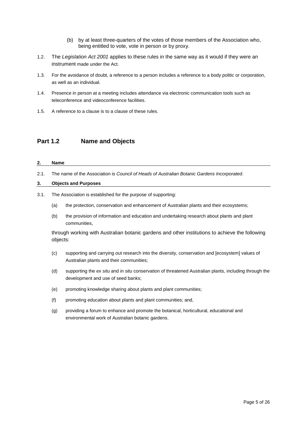- (b) by at least three-quarters of the votes of those members of the Association who, being entitled to vote, vote in person or by proxy.
- 1.2. The *Legislation Act 2001* applies to these rules in the same way as it would if they were an instrument made under the Act.
- 1.3. For the avoidance of doubt, a reference to a person includes a reference to a body politic or corporation, as well as an individual.
- 1.4. Presence in person at a meeting includes attendance via electronic communication tools such as teleconference and videoconference facilities.
- 1.5. A reference to a clause is to a clause of these rules.

### <span id="page-4-0"></span>**Part 1.2 Name and Objects**

#### <span id="page-4-1"></span>**2. Name**

2.1. The name of the Association is *Council of Heads of Australian Botanic Gardens Incorporated*.

#### <span id="page-4-2"></span>**3. Objects and Purposes**

- 3.1. The Association is established for the purpose of supporting:
	- (a) the protection, conservation and enhancement of Australian plants and their ecosystems;
	- (b) the provision of information and education and undertaking research about plants and plant communities,

through working with Australian botanic gardens and other institutions to achieve the following objects:

- (c) supporting and carrying out research into the diversity, conservation and [ecosystem] values of Australian plants and their communities;
- (d) supporting the *ex situ* and *in situ* conservation of threatened Australian plants, including through the development and use of seed banks;
- (e) promoting knowledge sharing about plants and plant communities;
- (f) promoting education about plants and plant communities; and,
- (g) providing a forum to enhance and promote the botanical, horticultural, educational and environmental work of Australian botanic gardens.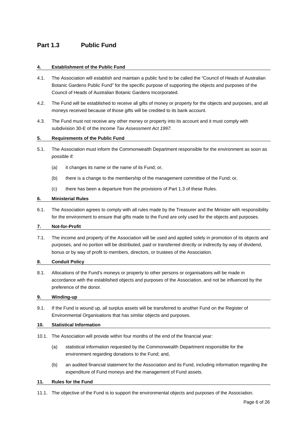## <span id="page-5-0"></span>**Part 1.3 Public Fund**

#### <span id="page-5-1"></span>**4. Establishment of the Public Fund**

- 4.1. The Association will establish and maintain a public fund to be called the "Council of Heads of Australian Botanic Gardens Public Fund" for the specific purpose of supporting the objects and purposes of the Council of Heads of Australian Botanic Gardens Incorporated.
- 4.2. The Fund will be established to receive all gifts of money or property for the objects and purposes, and all moneys received because of those gifts will be credited to its bank account.
- 4.3. The Fund must not receive any other money or property into its account and it must comply with subdivision 30-E of the *Income Tax Assessment Act 1997*.

#### <span id="page-5-2"></span>**5. Requirements of the Public Fund**

- 5.1. The Association must inform the Commonwealth Department responsible for the environment as soon as possible if:
	- (a) it changes its name or the name of its Fund; or,
	- (b) there is a change to the membership of the management committee of the Fund; or,
	- (c) there has been a departure from the provisions of Part 1.3 of these Rules.

#### <span id="page-5-3"></span>**6. Ministerial Rules**

6.1. The Association agrees to comply with all rules made by the Treasurer and the Minister with responsibility for the environment to ensure that gifts made to the Fund are only used for the objects and purposes.

#### <span id="page-5-4"></span>**7. Not-for-Profit**

7.1. The income and property of the Association will be used and applied solely in promotion of its objects and purposes, and no portion will be distributed, paid or transferred directly or indirectly by way of dividend, bonus or by way of profit to members, directors, or trustees of the Association.

#### <span id="page-5-5"></span>**8. Conduit Policy**

8.1. Allocations of the Fund's moneys or property to other persons or organisations will be made in accordance with the established objects and purposes of the Association, and not be influenced by the preference of the donor.

#### <span id="page-5-6"></span>**9. Winding-up**

9.1. If the Fund is wound up, all surplus assets will be transferred to another Fund on the Register of Environmental Organisations that has similar objects and purposes.

#### <span id="page-5-7"></span>**10. Statistical Information**

- 10.1. The Association will provide within four months of the end of the financial year:
	- (a) statistical information requested by the Commonwealth Department responsible for the environment regarding donations to the Fund; and,
	- (b) an audited financial statement for the Association and its Fund, including information regarding the expenditure of Fund moneys and the management of Fund assets.

#### <span id="page-5-8"></span>**11. Rules for the Fund**

11.1. The objective of the Fund is to support the environmental objects and purposes of the Association.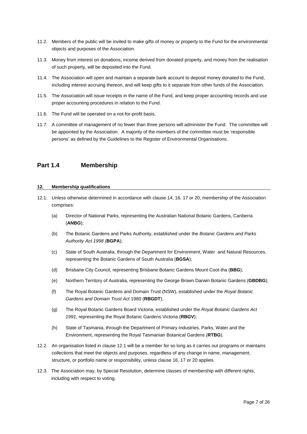- 11.2. Members of the public will be invited to make gifts of money or property to the Fund for the environmental objects and purposes of the Association.
- 11.3. Money from interest on donations, income derived from donated property, and money from the realisation of such property, will be deposited into the Fund.
- 11.4. The Association will open and maintain a separate bank account to deposit money donated to the Fund, including interest accruing thereon, and will keep gifts to it separate from other funds of the Association.
- 11.5. The Association will issue receipts in the name of the Fund, and keep proper accounting records and use proper accounting procedures in relation to the Fund.
- 11.6. The Fund will be operated on a not-for-profit basis.
- 11.7. A committee of management of no fewer than three persons will administer the Fund. The committee will be appointed by the Association. A majority of the members of the committee must be 'responsible persons' as defined by the Guidelines to the Register of Environmental Organisations.

## <span id="page-6-0"></span>**Part 1.4 Membership**

#### <span id="page-6-1"></span>**12. Membership qualifications**

- 12.1. Unless otherwise determined in accordance with clause 14, 16, 17 or 20, membership of the Association comprises:
	- (a) Director of National Parks, representing the Australian National Botanic Gardens, Canberra (**ANBG**);
	- (b) The Botanic Gardens and Parks Authority, established under the *Botanic Gardens and Parks Authority Act 1998* (**BGPA**);
	- (c) State of South Australia, through the Department for Environment, Water and Natural Resources, representing the Botanic Gardens of South Australia (**BGSA**);
	- (d) Brisbane City Council, representing Brisbane Botanic Gardens Mount Coot-tha (**BBG**);
	- (e) Northern Territory of Australia, representing the George Brown Darwin Botanic Gardens (**GBDBG**);
	- (f) The Royal Botanic Gardens and Domain Trust (NSW), established under the *Royal Botanic Gardens and Domain Trust Act* 1980 (**RBGDT**);
	- (g) The Royal Botanic Gardens Board Victoria, established under the *Royal Botanic Gardens Act 1991*, representing the Royal Botanic Gardens Victoria (**RBGV**);
	- (h) State of Tasmania, through the Department of Primary Industries, Parks, Water and the Environment, representing the Royal Tasmanian Botanical Gardens (**RTBG**).
- 12.2. An organisation listed in clause 12.1 will be a member for so long as it carries out programs or maintains collections that meet the objects and purposes, regardless of any change in name, management, structure, or portfolio name or responsibility, unless clause 16, 17 or 20 applies.
- 12.3. The Association may, by Special Resolution, determine classes of membership with different rights, including with respect to voting.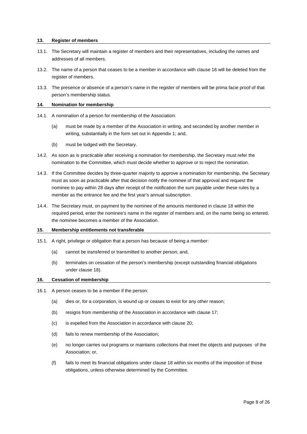#### <span id="page-7-0"></span>**13. Register of members**

- 13.1. The Secretary will maintain a register of members and their representatives, including the names and addresses of all members.
- 13.2. The name of a person that ceases to be a member in accordance with clause 16 will be deleted from the register of members.
- 13.3. The presence or absence of a person's name in the register of members will be prima facie proof of that person's membership status.

#### <span id="page-7-1"></span>**14. Nomination for membership**

- 14.1. A nomination of a person for membership of the Association:
	- (a) must be made by a member of the Association in writing, and seconded by another member in writing, substantially in the form set out in Appendix 1; and,
	- (b) must be lodged with the Secretary.
- 14.2. As soon as is practicable after receiving a nomination for membership, the Secretary must refer the nomination to the Committee, which must decide whether to approve or to reject the nomination.
- 14.3. If the Committee decides by three-quarter majority to approve a nomination for membership, the Secretary must as soon as practicable after that decision notify the nominee of that approval and request the nominee to pay within 28 days after receipt of the notification the sum payable under these rules by a member as the entrance fee and the first year's annual subscription.
- 14.4. The Secretary must, on payment by the nominee of the amounts mentioned in clause 18 within the required period, enter the nominee's name in the register of members and, on the name being so entered, the nominee becomes a member of the Association.

#### <span id="page-7-2"></span>**15. Membership entitlements not transferable**

- 15.1. A right, privilege or obligation that a person has because of being a member:
	- (a) cannot be transferred or transmitted to another person; and,
	- (b) terminates on cessation of the person's membership (except outstanding financial obligations under clause 18).

#### <span id="page-7-3"></span>**16. Cessation of membership**

- 16.1. A person ceases to be a member if the person:
	- (a) dies or, for a corporation, is wound up or ceases to exist for any other reason;
	- (b) resigns from membership of the Association in accordance with clause 17;
	- (c) is expelled from the Association in accordance with clause 20;
	- (d) fails to renew membership of the Association;
	- (e) no longer carries out programs or maintains collections that meet the objects and purposes of the Association; or,
	- (f) fails to meet its financial obligations under clause 18 within six months of the imposition of those obligations, unless otherwise determined by the Committee.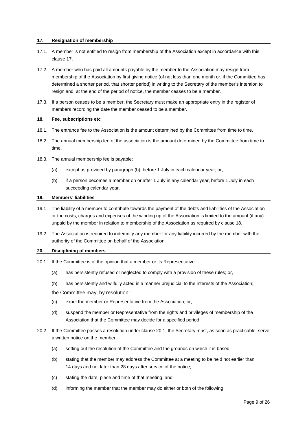#### <span id="page-8-0"></span>**17. Resignation of membership**

- 17.1. A member is not entitled to resign from membership of the Association except in accordance with this clause 17.
- 17.2. A member who has paid all amounts payable by the member to the Association may resign from membership of the Association by first giving notice (of not less than one month or, if the Committee has determined a shorter period, that shorter period) in writing to the Secretary of the member's intention to resign and, at the end of the period of notice, the member ceases to be a member.
- 17.3. If a person ceases to be a member, the Secretary must make an appropriate entry in the register of members recording the date the member ceased to be a member.

#### <span id="page-8-1"></span>**18. Fee, subscriptions etc**

- 18.1. The entrance fee to the Association is the amount determined by the Committee from time to time.
- 18.2. The annual membership fee of the association is the amount determined by the Committee from time to time.
- 18.3. The annual membership fee is payable:
	- (a) except as provided by paragraph (b), before 1 July in each calendar year; or,
	- (b) if a person becomes a member on or after 1 July in any calendar year, before 1 July in each succeeding calendar year.

#### <span id="page-8-2"></span>**19. Members' liabilities**

- 19.1. The liability of a member to contribute towards the payment of the debts and liabilities of the Association or the costs, charges and expenses of the winding up of the Association is limited to the amount (if any) unpaid by the member in relation to membership of the Association as required by clause 18.
- 19.2. The Association is required to indemnify any member for any liability incurred by the member with the authority of the Committee on behalf of the Association.

#### <span id="page-8-3"></span>**20. Disciplining of members**

- 20.1. If the Committee is of the opinion that a member or its Representative:
	- (a) has persistently refused or neglected to comply with a provision of these rules; or,
	- (b) has persistently and wilfully acted in a manner prejudicial to the interests of the Association;

the Committee may, by resolution:

- (c) expel the member or Representative from the Association; or,
- (d) suspend the member or Representative from the rights and privileges of membership of the Association that the Committee may decide for a specified period.
- 20.2. If the Committee passes a resolution under clause 20.1, the Secretary must, as soon as practicable, serve a written notice on the member:
	- (a) setting out the resolution of the Committee and the grounds on which it is based;
	- (b) stating that the member may address the Committee at a meeting to be held not earlier than 14 days and not later than 28 days after service of the notice;
	- (c) stating the date, place and time of that meeting; and
	- (d) informing the member that the member may do either or both of the following: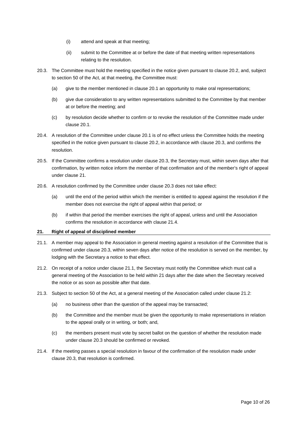- (i) attend and speak at that meeting;
- (ii) submit to the Committee at or before the date of that meeting written representations relating to the resolution.
- 20.3. The Committee must hold the meeting specified in the notice given pursuant to clause 20.2, and, subject to section 50 of the Act, at that meeting, the Committee must:
	- (a) give to the member mentioned in clause 20.1 an opportunity to make oral representations;
	- (b) give due consideration to any written representations submitted to the Committee by that member at or before the meeting; and
	- (c) by resolution decide whether to confirm or to revoke the resolution of the Committee made under clause 20.1.
- 20.4. A resolution of the Committee under clause 20.1 is of no effect unless the Committee holds the meeting specified in the notice given pursuant to clause 20.2, in accordance with clause 20.3, and confirms the resolution.
- 20.5. If the Committee confirms a resolution under clause 20.3, the Secretary must, within seven days after that confirmation, by written notice inform the member of that confirmation and of the member's right of appeal under clause 21.
- 20.6. A resolution confirmed by the Committee under clause 20.3 does not take effect:
	- (a) until the end of the period within which the member is entitled to appeal against the resolution if the member does not exercise the right of appeal within that period; or
	- (b) if within that period the member exercises the right of appeal, unless and until the Association confirms the resolution in accordance with clause 21.4.

#### <span id="page-9-0"></span>**21. Right of appeal of disciplined member**

- 21.1. A member may appeal to the Association in general meeting against a resolution of the Committee that is confirmed under clause 20.3, within seven days after notice of the resolution is served on the member, by lodging with the Secretary a notice to that effect.
- 21.2. On receipt of a notice under clause 21.1, the Secretary must notify the Committee which must call a general meeting of the Association to be held within 21 days after the date when the Secretary received the notice or as soon as possible after that date.
- 21.3. Subject to section 50 of the Act, at a general meeting of the Association called under clause 21.2:
	- (a) no business other than the question of the appeal may be transacted;
	- (b) the Committee and the member must be given the opportunity to make representations in relation to the appeal orally or in writing, or both; and,
	- (c) the members present must vote by secret ballot on the question of whether the resolution made under clause 20.3 should be confirmed or revoked.
- 21.4. If the meeting passes a special resolution in favour of the confirmation of the resolution made under clause 20.3, that resolution is confirmed.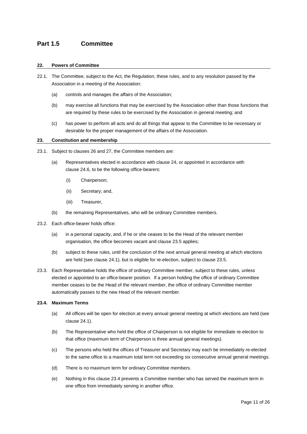## <span id="page-10-0"></span>**Part 1.5 Committee**

#### <span id="page-10-1"></span>**22. Powers of Committee**

- 22.1. The Committee, subject to the Act, the Regulation, these rules, and to any resolution passed by the Association in a meeting of the Association:
	- (a) controls and manages the affairs of the Association;
	- (b) may exercise all functions that may be exercised by the Association other than those functions that are required by these rules to be exercised by the Association in general meeting; and
	- (c) has power to perform all acts and do all things that appear to the Committee to be necessary or desirable for the proper management of the affairs of the Association.

#### <span id="page-10-2"></span>**23. Constitution and membership**

- 23.1. Subject to clauses 26 and 27, the Committee members are:
	- (a) Representatives elected in accordance with clause 24, or appointed in accordance with clause 24.6, to be the following office-bearers:
		- (i) Chairperson;
		- (ii) Secretary; and,
		- (iii) Treasurer,
	- (b) the remaining Representatives, who will be ordinary Committee members.
- 23.2. Each office-bearer holds office:
	- (a) in a personal capacity, and, if he or she ceases to be the Head of the relevant member organisation, the office becomes vacant and clause 23.5 applies;
	- (b) subject to these rules, until the conclusion of the next annual general meeting at which elections are held (see clause 24.1), but is eligible for re-election, subject to clause 23.5.
- 23.3. Each Representative holds the office of ordinary Committee member, subject to these rules, unless elected or appointed to an office-bearer position. If a person holding the office of ordinary Committee member ceases to be the Head of the relevant member, the office of ordinary Committee member automatically passes to the new Head of the relevant member.

#### **23.4. Maximum Terms**

- (a) All offices will be open for election at every annual general meeting at which elections are held (see clause 24.1).
- (b) The Representative who held the office of Chairperson is not eligible for immediate re-election to that office (maximum term of Chairperson is three annual general meetings).
- (c) The persons who held the offices of Treasurer and Secretary may each be immediately re-elected to the same office to a maximum total term not exceeding six consecutive annual general meetings.
- (d) There is no maximum term for ordinary Committee members.
- (e) Nothing in this clause 23.4 prevents a Committee member who has served the maximum term in one office from immediately serving in another office.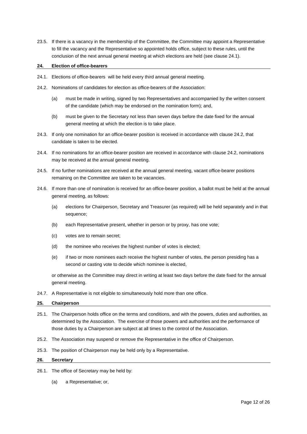23.5. If there is a vacancy in the membership of the Committee, the Committee may appoint a Representative to fill the vacancy and the Representative so appointed holds office, subject to these rules, until the conclusion of the next annual general meeting at which elections are held (see clause 24.1).

#### <span id="page-11-0"></span>**24. Election of office-bearers**

- 24.1. Elections of office-bearers will be held every third annual general meeting.
- 24.2. Nominations of candidates for election as office-bearers of the Association:
	- (a) must be made in writing, signed by two Representatives and accompanied by the written consent of the candidate (which may be endorsed on the nomination form); and,
	- (b) must be given to the Secretary not less than seven days before the date fixed for the annual general meeting at which the election is to take place.
- 24.3. If only one nomination for an office-bearer position is received in accordance with clause 24.2, that candidate is taken to be elected.
- 24.4. If no nominations for an office-bearer position are received in accordance with clause 24.2, nominations may be received at the annual general meeting.
- 24.5. If no further nominations are received at the annual general meeting, vacant office-bearer positions remaining on the Committee are taken to be vacancies.
- 24.6. If more than one of nomination is received for an office-bearer position, a ballot must be held at the annual general meeting, as follows:
	- (a) elections for Chairperson, Secretary and Treasurer (as required) will be held separately and in that sequence;
	- (b) each Representative present, whether in person or by proxy, has one vote;
	- (c) votes are to remain secret;
	- (d) the nominee who receives the highest number of votes is elected;
	- (e) if two or more nominees each receive the highest number of votes, the person presiding has a second or casting vote to decide which nominee is elected,

or otherwise as the Committee may direct in writing at least two days before the date fixed for the annual general meeting.

24.7. A Representative is not eligible to simultaneously hold more than one office.

#### <span id="page-11-1"></span>**25. Chairperson**

- 25.1. The Chairperson holds office on the terms and conditions, and with the powers, duties and authorities, as determined by the Association. The exercise of those powers and authorities and the performance of those duties by a Chairperson are subject at all times to the control of the Association.
- 25.2. The Association may suspend or remove the Representative in the office of Chairperson.
- 25.3. The position of Chairperson may be held only by a Representative.

#### <span id="page-11-2"></span>**26. Secretary**

- 26.1. The office of Secretary may be held by:
	- (a) a Representative; or,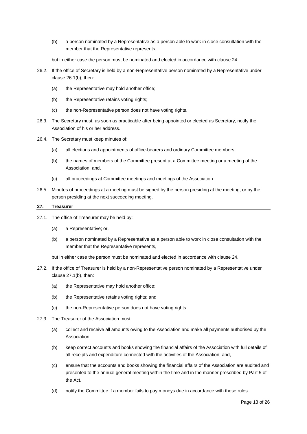- (b) a person nominated by a Representative as a person able to work in close consultation with the member that the Representative represents,
- but in either case the person must be nominated and elected in accordance with clause 24.
- 26.2. If the office of Secretary is held by a non-Representative person nominated by a Representative under clause 26.1(b), then:
	- (a) the Representative may hold another office;
	- (b) the Representative retains voting rights;
	- (c) the non-Representative person does not have voting rights.
- 26.3. The Secretary must, as soon as practicable after being appointed or elected as Secretary, notify the Association of his or her address.
- 26.4. The Secretary must keep minutes of:
	- (a) all elections and appointments of office-bearers and ordinary Committee members;
	- (b) the names of members of the Committee present at a Committee meeting or a meeting of the Association; and,
	- (c) all proceedings at Committee meetings and meetings of the Association.
- 26.5. Minutes of proceedings at a meeting must be signed by the person presiding at the meeting, or by the person presiding at the next succeeding meeting.

#### <span id="page-12-0"></span>**27. Treasurer**

- 27.1. The office of Treasurer may be held by:
	- (a) a Representative; or,
	- (b) a person nominated by a Representative as a person able to work in close consultation with the member that the Representative represents,

but in either case the person must be nominated and elected in accordance with clause 24.

- 27.2. If the office of Treasurer is held by a non-Representative person nominated by a Representative under clause 27.1(b), then:
	- (a) the Representative may hold another office;
	- (b) the Representative retains voting rights; and
	- (c) the non-Representative person does not have voting rights.
- 27.3. The Treasurer of the Association must:
	- (a) collect and receive all amounts owing to the Association and make all payments authorised by the Association;
	- (b) keep correct accounts and books showing the financial affairs of the Association with full details of all receipts and expenditure connected with the activities of the Association; and,
	- (c) ensure that the accounts and books showing the financial affairs of the Association are audited and presented to the annual general meeting within the time and in the manner prescribed by Part 5 of the Act.
	- (d) notify the Committee if a member fails to pay moneys due in accordance with these rules.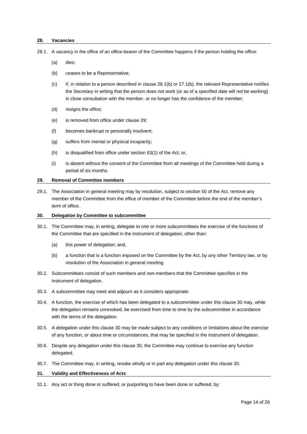#### <span id="page-13-0"></span>**28. Vacancies**

28.1. A vacancy in the office of an office-bearer of the Committee happens if the person holding the office:

- (a) dies;
- (b) ceases to be a Representative;
- (c) if, in relation to a person described in clause 26.1(b) or 27.1(b), the relevant Representative notifies the Secretary in writing that the person does not work (or as of a specified date will not be working) in close consultation with the member, or no longer has the confidence of the member;
- (d) resigns the office;
- (e) is removed from office under clause 29;
- (f) becomes bankrupt or personally insolvent;
- (g) suffers from mental or physical incapacity;
- (h) is disqualified from office under section 63(1) of the Act; or,
- (i) is absent without the consent of the Committee from all meetings of the Committee held during a period of six months.

#### <span id="page-13-1"></span>**29. Removal of Committee members**

29.1. The Association in general meeting may by resolution, subject to section 50 of the Act, remove any member of the Committee from the office of member of the Committee before the end of the member's term of office.

#### <span id="page-13-2"></span>**30. Delegation by Committee to subcommittee**

- 30.1. The Committee may, in writing, delegate to one or more subcommittees the exercise of the functions of the Committee that are specified in the instrument of delegation, other than:
	- (a) this power of delegation; and,
	- (b) a function that is a function imposed on the Committee by the Act, by any other Territory law, or by resolution of the Association in general meeting.
- 30.2. Subcommittees consist of such members and non-members that the Committee specifies in the instrument of delegation.
- 30.3. A subcommittee may meet and adjourn as it considers appropriate.
- 30.4. A function, the exercise of which has been delegated to a subcommittee under this clause 30 may, while the delegation remains unrevoked, be exercised from time to time by the subcommittee in accordance with the terms of the delegation.
- 30.5. A delegation under this clause 30 may be made subject to any conditions or limitations about the exercise of any function, or about time or circumstances, that may be specified in the instrument of delegation.
- 30.6. Despite any delegation under this clause 30, the Committee may continue to exercise any function delegated.
- 30.7. The Committee may, in writing, revoke wholly or in part any delegation under this clause 30.

#### <span id="page-13-3"></span>**31. Validity and Effectiveness of Acts**

31.1. Any act or thing done or suffered, or purporting to have been done or suffered, by: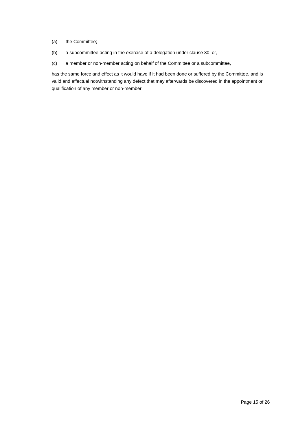- (a) the Committee;
- (b) a subcommittee acting in the exercise of a delegation under clause 30; or,
- (c) a member or non-member acting on behalf of the Committee or a subcommittee,

has the same force and effect as it would have if it had been done or suffered by the Committee, and is valid and effectual notwithstanding any defect that may afterwards be discovered in the appointment or qualification of any member or non-member.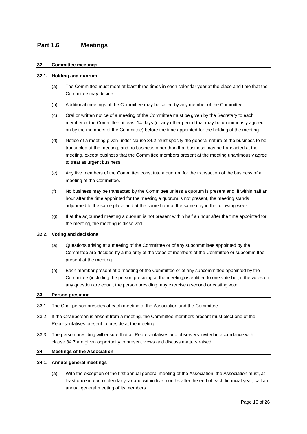## <span id="page-15-0"></span>**Part 1.6 Meetings**

#### <span id="page-15-1"></span>**32. Committee meetings**

#### **32.1. Holding and quorum**

- (a) The Committee must meet at least three times in each calendar year at the place and time that the Committee may decide.
- (b) Additional meetings of the Committee may be called by any member of the Committee.
- (c) Oral or written notice of a meeting of the Committee must be given by the Secretary to each member of the Committee at least 14 days (or any other period that may be unanimously agreed on by the members of the Committee) before the time appointed for the holding of the meeting.
- (d) Notice of a meeting given under clause 34.2 must specify the general nature of the business to be transacted at the meeting, and no business other than that business may be transacted at the meeting, except business that the Committee members present at the meeting unanimously agree to treat as urgent business.
- (e) Any five members of the Committee constitute a quorum for the transaction of the business of a meeting of the Committee.
- (f) No business may be transacted by the Committee unless a quorum is present and, if within half an hour after the time appointed for the meeting a quorum is not present, the meeting stands adjourned to the same place and at the same hour of the same day in the following week.
- (g) If at the adjourned meeting a quorum is not present within half an hour after the time appointed for the meeting, the meeting is dissolved.

#### **32.2. Voting and decisions**

- (a) Questions arising at a meeting of the Committee or of any subcommittee appointed by the Committee are decided by a majority of the votes of members of the Committee or subcommittee present at the meeting.
- (b) Each member present at a meeting of the Committee or of any subcommittee appointed by the Committee (including the person presiding at the meeting) is entitled to one vote but, if the votes on any question are equal, the person presiding may exercise a second or casting vote.

#### <span id="page-15-2"></span>**33. Person presiding**

- 33.1. The Chairperson presides at each meeting of the Association and the Committee.
- 33.2. If the Chairperson is absent from a meeting, the Committee members present must elect one of the Representatives present to preside at the meeting.
- 33.3. The person presiding will ensure that all Representatives and observers invited in accordance with clause 34.7 are given opportunity to present views and discuss matters raised.

#### <span id="page-15-3"></span>**34. Meetings of the Association**

#### **34.1. Annual general meetings**

(a) With the exception of the first annual general meeting of the Association, the Association must, at least once in each calendar year and within five months after the end of each financial year, call an annual general meeting of its members.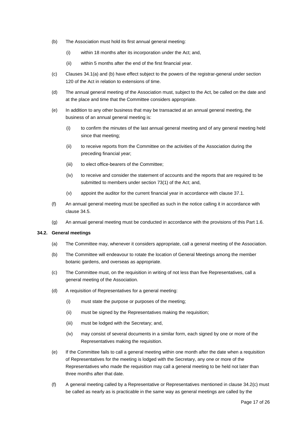- (b) The Association must hold its first annual general meeting:
	- (i) within 18 months after its incorporation under the Act; and,
	- (ii) within 5 months after the end of the first financial year.
- (c) Clauses 34.1(a) and (b) have effect subject to the powers of the registrar-general under section 120 of the Act in relation to extensions of time.
- (d) The annual general meeting of the Association must, subject to the Act, be called on the date and at the place and time that the Committee considers appropriate.
- (e) In addition to any other business that may be transacted at an annual general meeting, the business of an annual general meeting is:
	- (i) to confirm the minutes of the last annual general meeting and of any general meeting held since that meeting;
	- (ii) to receive reports from the Committee on the activities of the Association during the preceding financial year;
	- (iii) to elect office-bearers of the Committee;
	- (iv) to receive and consider the statement of accounts and the reports that are required to be submitted to members under section 73(1) of the Act; and,
	- (v) appoint the auditor for the current financial year in accordance with clause 37.1.
- (f) An annual general meeting must be specified as such in the notice calling it in accordance with clause 34.5.
- (g) An annual general meeting must be conducted in accordance with the provisions of this Part 1.6.

#### **34.2. General meetings**

- (a) The Committee may, whenever it considers appropriate, call a general meeting of the Association.
- (b) The Committee will endeavour to rotate the location of General Meetings among the member botanic gardens, and overseas as appropriate.
- (c) The Committee must, on the requisition in writing of not less than five Representatives, call a general meeting of the Association.
- (d) A requisition of Representatives for a general meeting:
	- (i) must state the purpose or purposes of the meeting;
	- (ii) must be signed by the Representatives making the requisition;
	- (iii) must be lodged with the Secretary; and,
	- (iv) may consist of several documents in a similar form, each signed by one or more of the Representatives making the requisition.
- (e) If the Committee fails to call a general meeting within one month after the date when a requisition of Representatives for the meeting is lodged with the Secretary, any one or more of the Representatives who made the requisition may call a general meeting to be held not later than three months after that date.
- (f) A general meeting called by a Representative or Representatives mentioned in clause 34.2(c) must be called as nearly as is practicable in the same way as general meetings are called by the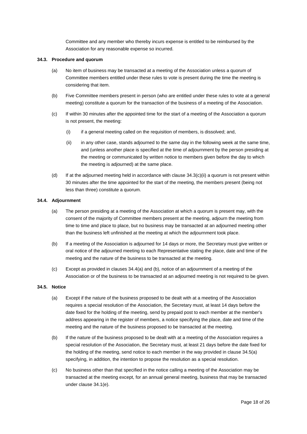Committee and any member who thereby incurs expense is entitled to be reimbursed by the Association for any reasonable expense so incurred.

#### **34.3. Procedure and quorum**

- (a) No item of business may be transacted at a meeting of the Association unless a quorum of Committee members entitled under these rules to vote is present during the time the meeting is considering that item.
- (b) Five Committee members present in person (who are entitled under these rules to vote at a general meeting) constitute a quorum for the transaction of the business of a meeting of the Association.
- (c) If within 30 minutes after the appointed time for the start of a meeting of the Association a quorum is not present, the meeting:
	- (i) if a general meeting called on the requisition of members, is dissolved; and,
	- (ii) in any other case, stands adjourned to the same day in the following week at the same time, and (unless another place is specified at the time of adjournment by the person presiding at the meeting or communicated by written notice to members given before the day to which the meeting is adjourned) at the same place.
- (d) If at the adjourned meeting held in accordance with clause 34.3(c)(ii) a quorum is not present within 30 minutes after the time appointed for the start of the meeting, the members present (being not less than three) constitute a quorum.

#### **34.4. Adjournment**

- (a) The person presiding at a meeting of the Association at which a quorum is present may, with the consent of the majority of Committee members present at the meeting, adjourn the meeting from time to time and place to place, but no business may be transacted at an adjourned meeting other than the business left unfinished at the meeting at which the adjournment took place.
- (b) If a meeting of the Association is adjourned for 14 days or more, the Secretary must give written or oral notice of the adjourned meeting to each Representative stating the place, date and time of the meeting and the nature of the business to be transacted at the meeting.
- (c) Except as provided in clauses 34.4(a) and (b), notice of an adjournment of a meeting of the Association or of the business to be transacted at an adjourned meeting is not required to be given.

#### **34.5. Notice**

- (a) Except if the nature of the business proposed to be dealt with at a meeting of the Association requires a special resolution of the Association, the Secretary must, at least 14 days before the date fixed for the holding of the meeting, send by prepaid post to each member at the member's address appearing in the register of members, a notice specifying the place, date and time of the meeting and the nature of the business proposed to be transacted at the meeting.
- (b) If the nature of the business proposed to be dealt with at a meeting of the Association requires a special resolution of the Association, the Secretary must, at least 21 days before the date fixed for the holding of the meeting, send notice to each member in the way provided in clause 34.5(a) specifying, in addition, the intention to propose the resolution as a special resolution.
- (c) No business other than that specified in the notice calling a meeting of the Association may be transacted at the meeting except, for an annual general meeting, business that may be transacted under clause 34.1(e).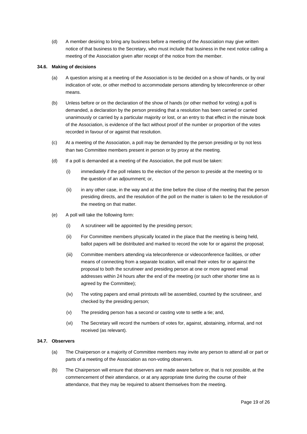(d) A member desiring to bring any business before a meeting of the Association may give written notice of that business to the Secretary, who must include that business in the next notice calling a meeting of the Association given after receipt of the notice from the member.

#### **34.6. Making of decisions**

- (a) A question arising at a meeting of the Association is to be decided on a show of hands, or by oral indication of vote, or other method to accommodate persons attending by teleconference or other means.
- (b) Unless before or on the declaration of the show of hands (or other method for voting) a poll is demanded, a declaration by the person presiding that a resolution has been carried or carried unanimously or carried by a particular majority or lost, or an entry to that effect in the minute book of the Association, is evidence of the fact without proof of the number or proportion of the votes recorded in favour of or against that resolution.
- (c) At a meeting of the Association, a poll may be demanded by the person presiding or by not less than two Committee members present in person or by proxy at the meeting.
- (d) If a poll is demanded at a meeting of the Association, the poll must be taken:
	- (i) immediately if the poll relates to the election of the person to preside at the meeting or to the question of an adjournment; or,
	- (ii) in any other case, in the way and at the time before the close of the meeting that the person presiding directs, and the resolution of the poll on the matter is taken to be the resolution of the meeting on that matter.
- (e) A poll will take the following form:
	- (i) A scrutineer will be appointed by the presiding person;
	- (ii) For Committee members physically located in the place that the meeting is being held, ballot papers will be distributed and marked to record the vote for or against the proposal;
	- (iii) Committee members attending via teleconference or videoconference facilities, or other means of connecting from a separate location, will email their votes for or against the proposal to both the scrutineer and presiding person at one or more agreed email addresses within 24 hours after the end of the meeting (or such other shorter time as is agreed by the Committee);
	- (iv) The voting papers and email printouts will be assembled, counted by the scrutineer, and checked by the presiding person;
	- (v) The presiding person has a second or casting vote to settle a tie; and,
	- (vi) The Secretary will record the numbers of votes for, against, abstaining, informal, and not received (as relevant).

#### **34.7. Observers**

- (a) The Chairperson or a majority of Committee members may invite any person to attend all or part or parts of a meeting of the Association as non-voting observers.
- (b) The Chairperson will ensure that observers are made aware before or, that is not possible, at the commencement of their attendance, or at any appropriate time during the course of their attendance, that they may be required to absent themselves from the meeting.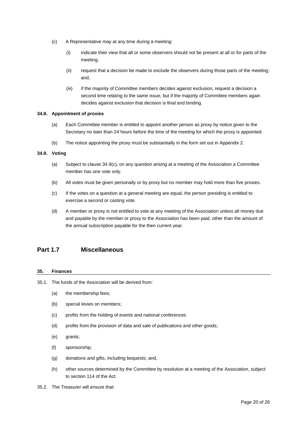- (c) A Representative may at any time during a meeting:
	- (i) indicate their view that all or some observers should not be present at all or for parts of the meeting;
	- (ii) request that a decision be made to exclude the observers during those parts of the meeting; and,
	- (iii) if the majority of Committee members decides against exclusion, request a decision a second time relating to the same issue, but if the majority of Committee members again decides against exclusion that decision is final and binding.

#### **34.8. Appointment of proxies**

- (a) Each Committee member is entitled to appoint another person as proxy by notice given to the Secretary no later than 24 hours before the time of the meeting for which the proxy is appointed.
- (b) The notice appointing the proxy must be substantially in the form set out in Appendix 2.

#### **34.9. Voting**

- (a) Subject to clause 34.9(c), on any question arising at a meeting of the Association a Committee member has one vote only.
- (b) All votes must be given personally or by proxy but no member may hold more than five proxies.
- (c) If the votes on a question at a general meeting are equal, the person presiding is entitled to exercise a second or casting vote.
- (d) A member or proxy is not entitled to vote at any meeting of the Association unless all money due and payable by the member or proxy to the Association has been paid, other than the amount of the annual subscription payable for the then current year.

## <span id="page-19-0"></span>**Part 1.7 Miscellaneous**

#### <span id="page-19-1"></span>**35. Finances**

- 35.1. The funds of the Association will be derived from:
	- (a) the membership fees;
	- (b) special levies on members;
	- (c) profits from the holding of events and national conferences
	- (d) profits from the provision of data and sale of publications and other goods;
	- (e) grants;
	- (f) sponsorship;
	- (g) donations and gifts, including bequests; and,
	- (h) other sources determined by the Committee by resolution at a meeting of the Association, subject to section 114 of the Act.
- 35.2. The Treasurer will ensure that: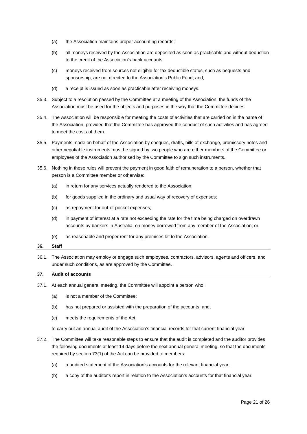- (a) the Association maintains proper accounting records;
- (b) all moneys received by the Association are deposited as soon as practicable and without deduction to the credit of the Association's bank accounts;
- (c) moneys received from sources not eligible for tax deductible status, such as bequests and sponsorship, are not directed to the Association's Public Fund; and,
- (d) a receipt is issued as soon as practicable after receiving moneys.
- 35.3. Subject to a resolution passed by the Committee at a meeting of the Association, the funds of the Association must be used for the objects and purposes in the way that the Committee decides.
- 35.4. The Association will be responsible for meeting the costs of activities that are carried on in the name of the Association, provided that the Committee has approved the conduct of such activities and has agreed to meet the costs of them.
- 35.5. Payments made on behalf of the Association by cheques, drafts, bills of exchange, promissory notes and other negotiable instruments must be signed by two people who are either members of the Committee or employees of the Association authorised by the Committee to sign such instruments.
- 35.6. Nothing in these rules will prevent the payment in good faith of remuneration to a person, whether that person is a Committee member or otherwise:
	- (a) in return for any services actually rendered to the Association;
	- (b) for goods supplied in the ordinary and usual way of recovery of expenses;
	- (c) as repayment for out-of-pocket expenses;
	- (d) in payment of interest at a rate not exceeding the rate for the time being charged on overdrawn accounts by bankers in Australia, on money borrowed from any member of the Association; or,
	- (e) as reasonable and proper rent for any premises let to the Association.

#### <span id="page-20-0"></span>**36. Staff**

36.1. The Association may employ or engage such employees, contractors, advisors, agents and officers, and under such conditions, as are approved by the Committee.

#### <span id="page-20-1"></span>**37. Audit of accounts**

- 37.1. At each annual general meeting, the Committee will appoint a person who:
	- (a) is not a member of the Committee;
	- (b) has not prepared or assisted with the preparation of the accounts; and,
	- (c) meets the requirements of the Act,

to carry out an annual audit of the Association's financial records for that current financial year.

- 37.2. The Committee will take reasonable steps to ensure that the audit is completed and the auditor provides the following documents at least 14 days before the next annual general meeting, so that the documents required by section 73(1) of the Act can be provided to members:
	- (a) a audited statement of the Association's accounts for the relevant financial year;
	- (b) a copy of the auditor's report in relation to the Association's accounts for that financial year.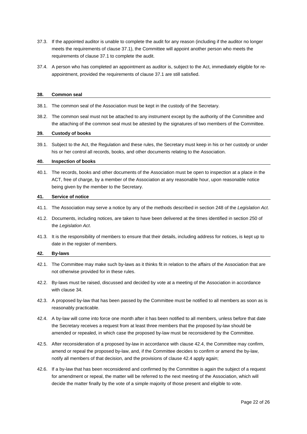- 37.3. If the appointed auditor is unable to complete the audit for any reason (including if the auditor no longer meets the requirements of clause 37.1), the Committee will appoint another person who meets the requirements of clause 37.1 to complete the audit.
- 37.4. A person who has completed an appointment as auditor is, subject to the Act, immediately eligible for reappointment, provided the requirements of clause 37.1 are still satisfied.

#### <span id="page-21-0"></span>**38. Common seal**

- 38.1. The common seal of the Association must be kept in the custody of the Secretary.
- 38.2. The common seal must not be attached to any instrument except by the authority of the Committee and the attaching of the common seal must be attested by the signatures of two members of the Committee.

#### <span id="page-21-1"></span>**39. Custody of books**

39.1. Subject to the Act, the Regulation and these rules, the Secretary must keep in his or her custody or under his or her control all records, books, and other documents relating to the Association.

#### <span id="page-21-2"></span>**40. Inspection of books**

40.1. The records, books and other documents of the Association must be open to inspection at a place in the ACT, free of charge, by a member of the Association at any reasonable hour, upon reasonable notice being given by the member to the Secretary.

#### <span id="page-21-3"></span>**41. Service of notice**

- 41.1. The Association may serve a notice by any of the methods described in section 248 of the *Legislation Act*.
- 41.2. Documents, including notices, are taken to have been delivered at the times identified in section 250 of the *Legislation Act*.
- 41.3. It is the responsibility of members to ensure that their details, including address for notices, is kept up to date in the register of members.

#### <span id="page-21-4"></span>**42. By-laws**

- 42.1. The Committee may make such by-laws as it thinks fit in relation to the affairs of the Association that are not otherwise provided for in these rules.
- 42.2. By-laws must be raised, discussed and decided by vote at a meeting of the Association in accordance with clause 34.
- 42.3. A proposed by-law that has been passed by the Committee must be notified to all members as soon as is reasonably practicable.
- 42.4. A by-law will come into force one month after it has been notified to all members, unless before that date the Secretary receives a request from at least three members that the proposed by-law should be amended or repealed, in which case the proposed by-law must be reconsidered by the Committee.
- 42.5. After reconsideration of a proposed by-law in accordance with clause 42.4, the Committee may confirm, amend or repeal the proposed by-law, and, if the Committee decides to confirm or amend the by-law, notify all members of that decision, and the provisions of clause 42.4 apply again;
- 42.6. If a by-law that has been reconsidered and confirmed by the Committee is again the subject of a request for amendment or repeal, the matter will be referred to the next meeting of the Association, which will decide the matter finally by the vote of a simple majority of those present and eligible to vote.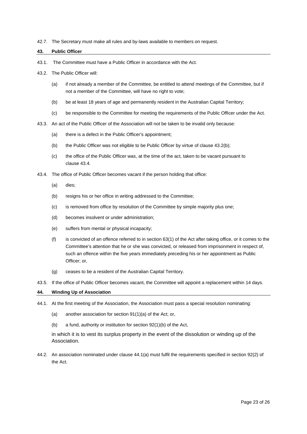42.7. The Secretary must make all rules and by-laws available to members on request.

#### <span id="page-22-0"></span>**43. Public Officer**

- 43.1. The Committee must have a Public Officer in accordance with the Act.
- 43.2. The Public Officer will:
	- (a) if not already a member of the Committee, be entitled to attend meetings of the Committee, but if not a member of the Committee, will have no right to vote;
	- (b) be at least 18 years of age and permanently resident in the Australian Capital Territory;
	- (c) be responsible to the Committee for meeting the requirements of the Public Officer under the Act.
- 43.3. An act of the Public Officer of the Association will not be taken to be invalid only because:
	- (a) there is a defect in the Public Officer's appointment;
	- (b) the Public Officer was not eligible to be Public Officer by virtue of clause 43.2(b);
	- (c) the office of the Public Officer was, at the time of the act, taken to be vacant pursuant to clause 43.4.
- 43.4. The office of Public Officer becomes vacant if the person holding that office:
	- (a) dies;
	- (b) resigns his or her office in writing addressed to the Committee;
	- (c) is removed from office by resolution of the Committee by simple majority plus one;
	- (d) becomes insolvent or under administration;
	- (e) suffers from mental or physical incapacity;
	- (f) is convicted of an offence referred to in section 63(1) of the Act after taking office, or it comes to the Committee's attention that he or she was convicted, or released from imprisonment in respect of, such an offence within the five years immediately preceding his or her appointment as Public Officer; or,
	- (g) ceases to be a resident of the Australian Capital Territory.
- 43.5. If the office of Public Officer becomes vacant, the Committee will appoint a replacement within 14 days.

#### <span id="page-22-1"></span>**44. Winding Up of Association**

- 44.1. At the first meeting of the Association, the Association must pass a special resolution nominating:
	- (a) another association for section 91(1)(a) of the Act; or,
	- (b) a fund, authority or institution for section 92(1)(b) of the Act,

in which it is to vest its surplus property in the event of the dissolution or winding up of the Association.

44.2. An association nominated under clause 44.1(a) must fulfil the requirements specified in section 92(2) of the Act.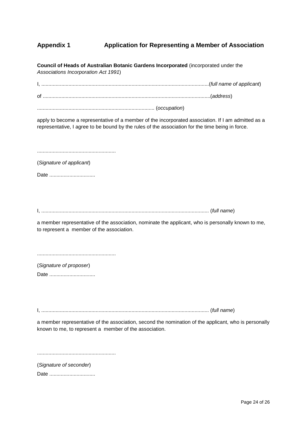## <span id="page-23-0"></span>**Appendix 1 Application for Representing a Member of Association**

**Council of Heads of Australian Botanic Gardens Incorporated** (incorporated under the *Associations Incorporation Act 1991*)

I, .....................................................................................................................(*full name of applicant*)

of .....................................................................................................................(*address*)

.................................................................................. (*occupation*)

apply to become a representative of a member of the incorporated association. If I am admitted as a representative, I agree to be bound by the rules of the association for the time being in force.

.......................................................

(*Signature of applicant*)

Date .................................

I, ..................................................................................................................... (*full name*)

a member representative of the association, nominate the applicant, who is personally known to me, to represent a member of the association.

.......................................................

(*Signature of proposer*) Date .................................

I, ..................................................................................................................... (*full name*)

a member representative of the association, second the nomination of the applicant, who is personally known to me, to represent a member of the association.

.......................................................

(*Signature of seconder*)

Date ..................................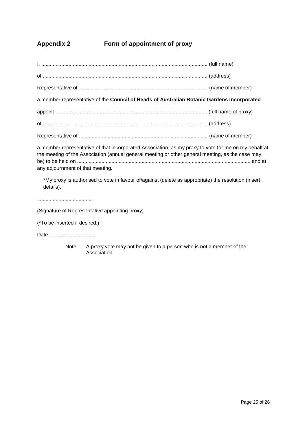## <span id="page-24-0"></span>**Appendix 2 Form of appointment of proxy**

I, .................................................................................................................... (full name) of ................................................................................................................... (address) Representative of .......................................................................................... (name of member) a member representative of the **Council of Heads of Australian Botanic Gardens Incorporated** appoint ...........................................................................................................(full name of proxy) of ....................................................................................................................(address) Representative of .......................................................................................... (name of member)

a member representative of that incorporated Association, as my proxy to vote for me on my behalf at the meeting of the Association (annual general meeting or other general meeting, as the case may be) to be held on ......................................................................................................................... and at any adjournment of that meeting.

\*My proxy is authorised to vote in favour of/against (delete as appropriate) the resolution (insert details).

.......................................

(Signature of Representative appointing proxy)

(\*To be inserted if desired.)

Date .................................

Note A proxy vote may not be given to a person who is not a member of the Association